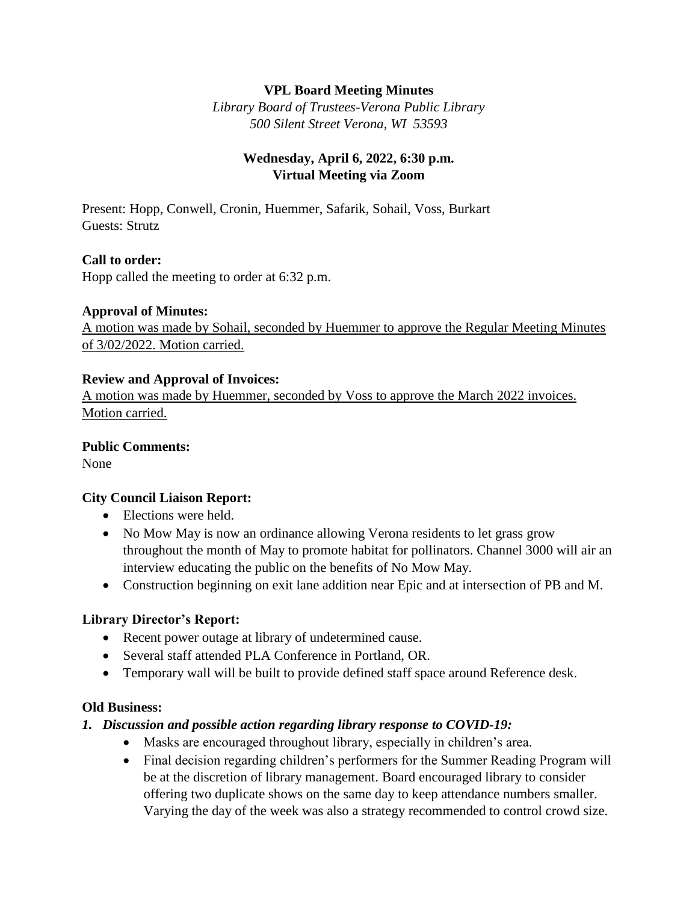## **VPL Board Meeting Minutes**

*Library Board of Trustees-Verona Public Library 500 Silent Street Verona, WI 53593*

## **Wednesday, April 6, 2022, 6:30 p.m. Virtual Meeting via Zoom**

Present: Hopp, Conwell, Cronin, Huemmer, Safarik, Sohail, Voss, Burkart Guests: Strutz

### **Call to order:**

Hopp called the meeting to order at 6:32 p.m.

#### **Approval of Minutes:**

A motion was made by Sohail, seconded by Huemmer to approve the Regular Meeting Minutes of 3/02/2022. Motion carried.

#### **Review and Approval of Invoices:**

A motion was made by Huemmer, seconded by Voss to approve the March 2022 invoices. Motion carried.

#### **Public Comments:**

None

#### **City Council Liaison Report:**

- Elections were held.
- No Mow May is now an ordinance allowing Verona residents to let grass grow throughout the month of May to promote habitat for pollinators. Channel 3000 will air an interview educating the public on the benefits of No Mow May.
- Construction beginning on exit lane addition near Epic and at intersection of PB and M.

#### **Library Director's Report:**

- Recent power outage at library of undetermined cause.
- Several staff attended PLA Conference in Portland, OR.
- Temporary wall will be built to provide defined staff space around Reference desk.

#### **Old Business:**

#### *1. Discussion and possible action regarding library response to COVID-19:*

- Masks are encouraged throughout library, especially in children's area.
- Final decision regarding children's performers for the Summer Reading Program will be at the discretion of library management. Board encouraged library to consider offering two duplicate shows on the same day to keep attendance numbers smaller. Varying the day of the week was also a strategy recommended to control crowd size.